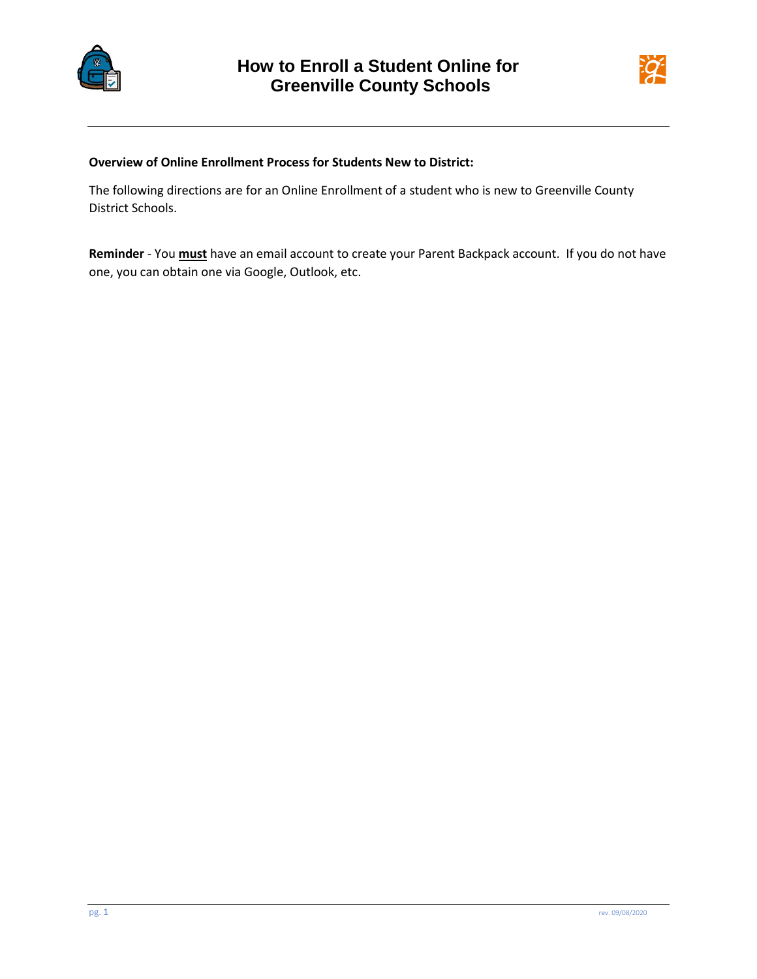



## **Overview of Online Enrollment Process for Students New to District:**

The following directions are for an Online Enrollment of a student who is new to Greenville County District Schools.

**Reminder** - You **must** have an email account to create your Parent Backpack account. If you do not have one, you can obtain one via Google, Outlook, etc.

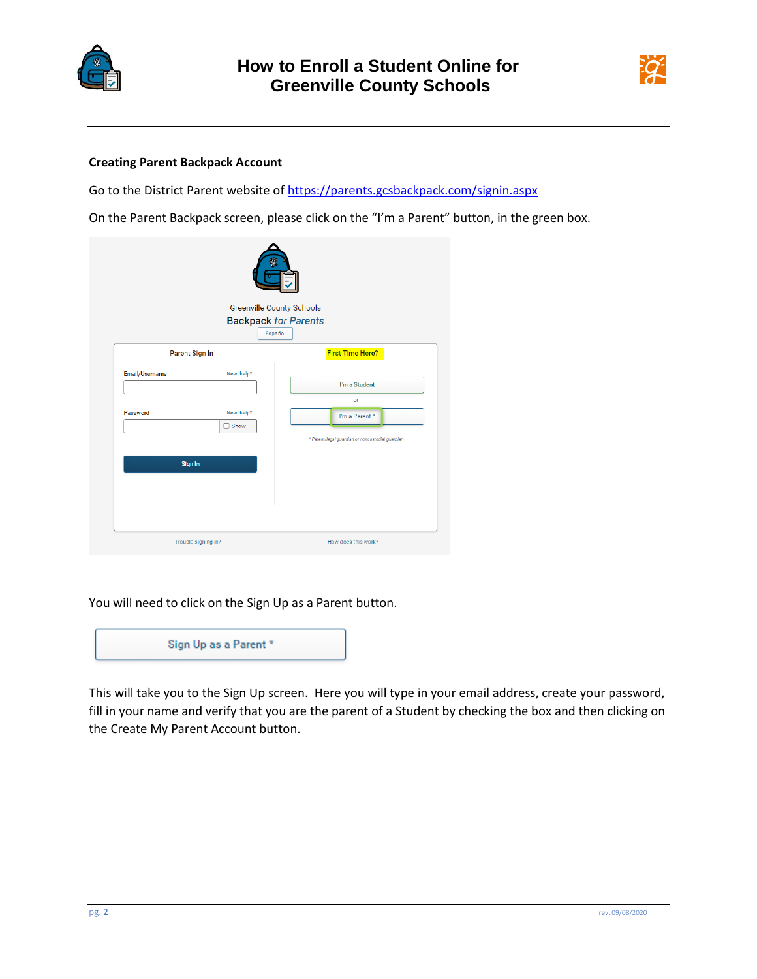



## **Creating Parent Backpack Account**

Go to the District Parent website o[f https://parents.gcsbackpack.com/signin.aspx](https://parents.gcsbackpack.com/signin.aspx)

On the Parent Backpack screen, please click on the "I'm a Parent" button, in the green box.

| $\boldsymbol{q}$<br><b>Greenville County Schools</b><br><b>Backpack for Parents</b><br>Español |                           |                                                  |  |  |  |
|------------------------------------------------------------------------------------------------|---------------------------|--------------------------------------------------|--|--|--|
| Parent Sign In                                                                                 |                           | <b>First Time Here?</b>                          |  |  |  |
| Email/Username                                                                                 | Need help?                | I'm a Student                                    |  |  |  |
| Password                                                                                       | Need help?<br>$\Box$ Show | or<br>I'm a Parent *                             |  |  |  |
|                                                                                                |                           | * Parent/legal guardian or noncustodial guardian |  |  |  |
| Sign In                                                                                        |                           |                                                  |  |  |  |
|                                                                                                |                           |                                                  |  |  |  |
|                                                                                                | Trouble signing in?       | How does this work?                              |  |  |  |

You will need to click on the Sign Up as a Parent button.



This will take you to the Sign Up screen. Here you will type in your email address, create your password, fill in your name and verify that you are the parent of a Student by checking the box and then clicking on the Create My Parent Account button.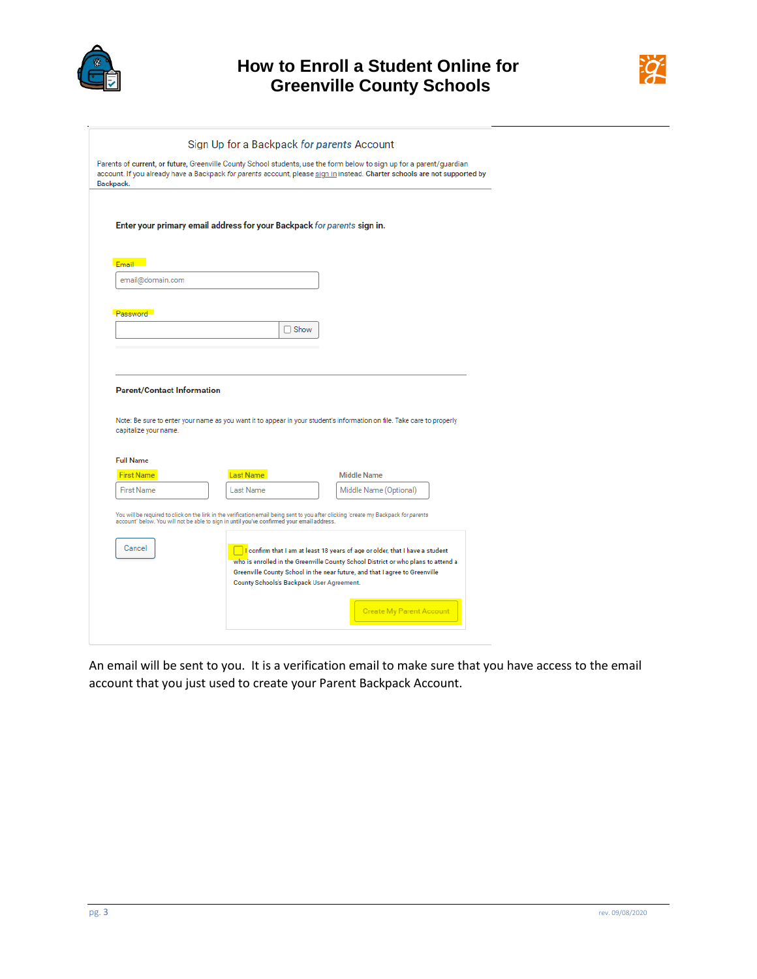



| Sign Up for a Backpack for parents Account |                                                                                                                                                                                                                                                                                                                                                                                            |
|--------------------------------------------|--------------------------------------------------------------------------------------------------------------------------------------------------------------------------------------------------------------------------------------------------------------------------------------------------------------------------------------------------------------------------------------------|
|                                            | Parents of current, or future, Greenville County School students, use the form below to sign up for a parent/guardian<br>account. If you already have a Backpack for parents account, please sign in instead. Charter schools are not supported by                                                                                                                                         |
|                                            |                                                                                                                                                                                                                                                                                                                                                                                            |
|                                            |                                                                                                                                                                                                                                                                                                                                                                                            |
|                                            |                                                                                                                                                                                                                                                                                                                                                                                            |
|                                            |                                                                                                                                                                                                                                                                                                                                                                                            |
|                                            |                                                                                                                                                                                                                                                                                                                                                                                            |
|                                            |                                                                                                                                                                                                                                                                                                                                                                                            |
|                                            |                                                                                                                                                                                                                                                                                                                                                                                            |
|                                            |                                                                                                                                                                                                                                                                                                                                                                                            |
| $\Box$ Show                                |                                                                                                                                                                                                                                                                                                                                                                                            |
|                                            |                                                                                                                                                                                                                                                                                                                                                                                            |
|                                            |                                                                                                                                                                                                                                                                                                                                                                                            |
|                                            | Note: Be sure to enter your name as you want it to appear in your student's information on file. Take care to properly                                                                                                                                                                                                                                                                     |
|                                            | <b>Middle Name</b>                                                                                                                                                                                                                                                                                                                                                                         |
|                                            | Middle Name (Optional)                                                                                                                                                                                                                                                                                                                                                                     |
|                                            |                                                                                                                                                                                                                                                                                                                                                                                            |
|                                            |                                                                                                                                                                                                                                                                                                                                                                                            |
|                                            | Enter your primary email address for your Backpack for parents sign in.<br><b>Parent/Contact Information</b><br><b>Last Name</b><br><b>Last Name</b><br>You will be required to click on the link in the verification email being sent to you after clicking "create my Backpack for parents<br>account" below. You will not be able to sign in until you've confirmed your email address. |

An email will be sent to you. It is a verification email to make sure that you have access to the email account that you just used to create your Parent Backpack Account.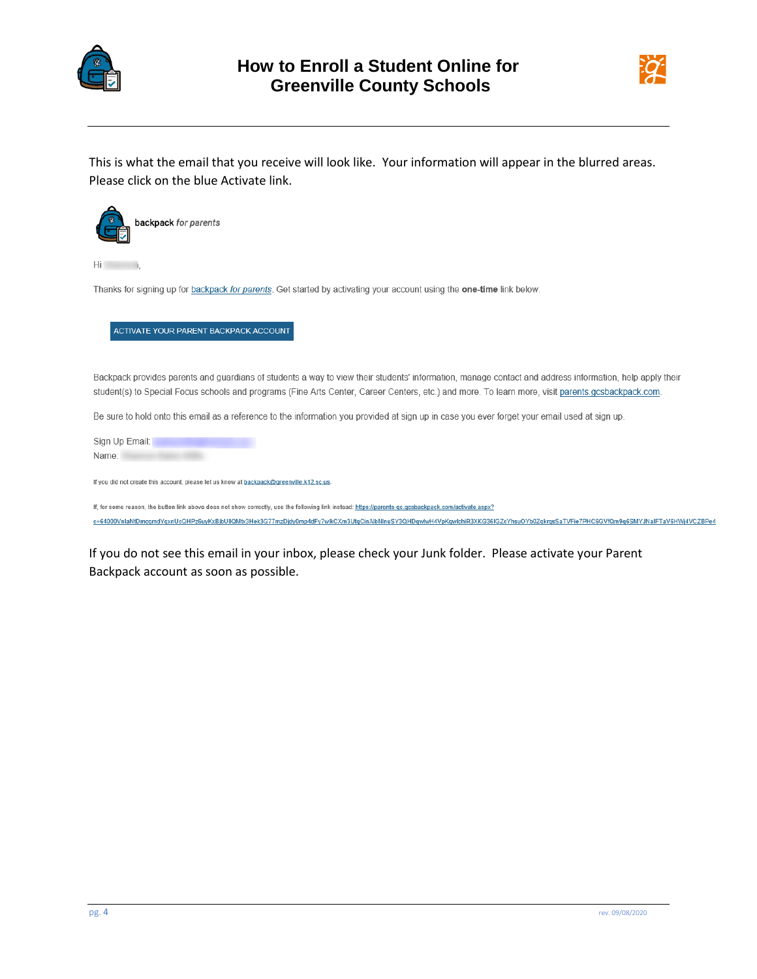



This is what the email that you receive will look like. Your information will appear in the blurred areas. Please click on the blue Activate link.



 $Hi$   $l$ 

Thanks for signing up for backpack for parents. Get started by activating your account using the one-time link below:

## ACTIVATE YOUR PARENT BACKPACK ACCOUNT

Backpack provides parents and guardians of students a way to view their students' information, manage contact and address information, help apply their student(s) to Special Focus schools and programs (Fine Arts Center, Career Centers, etc.) and more. To learn more, visit parents.gcsbackpack.com.

Be sure to hold onto this email as a reference to the information you provided at sign up in case you ever forget your email used at sign up.

Sign Up Email: Name:

If you did not create this account, please let us know at backpack@greenville.k12.sc.us.

If, for some reason, the button link above does not show correctly, use the following link instead: https://parents-qc.qcsbackpack.com/activate.aspx? c=64000VnlaNtDmcqmdYqxnUcQHPz6uyKxBjbUllQMtx3Hek3G77mzDjdy0mp4dFy7wlkCXm3UtqCinAlbNlnuSY3QHDqwlwH4VpKqwlchiR3XKG36IGZcYhsuOYb0ZqkrqsSaTVFie7PHC6GVfQm9q6SMYJNalFTaV6HWj4VCZBPe4

If you do not see this email in your inbox, please check your Junk folder. Please activate your Parent Backpack account as soon as possible.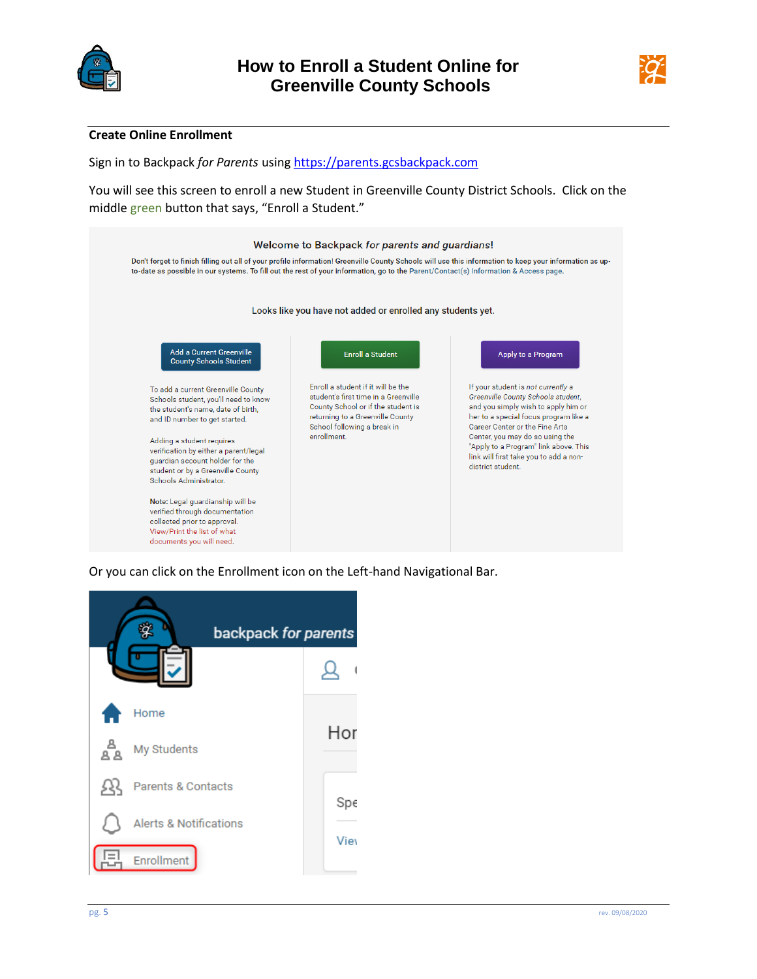



## **Create Online Enrollment**

Sign in to Backpack *for Parents* usin[g https://parents.gcsbackpack.com](https://parents.gcsbackpack.com/)

You will see this screen to enroll a new Student in Greenville County District Schools. Click on the middle green button that says, "Enroll a Student."



Or you can click on the Enrollment icon on the Left-hand Navigational Bar.

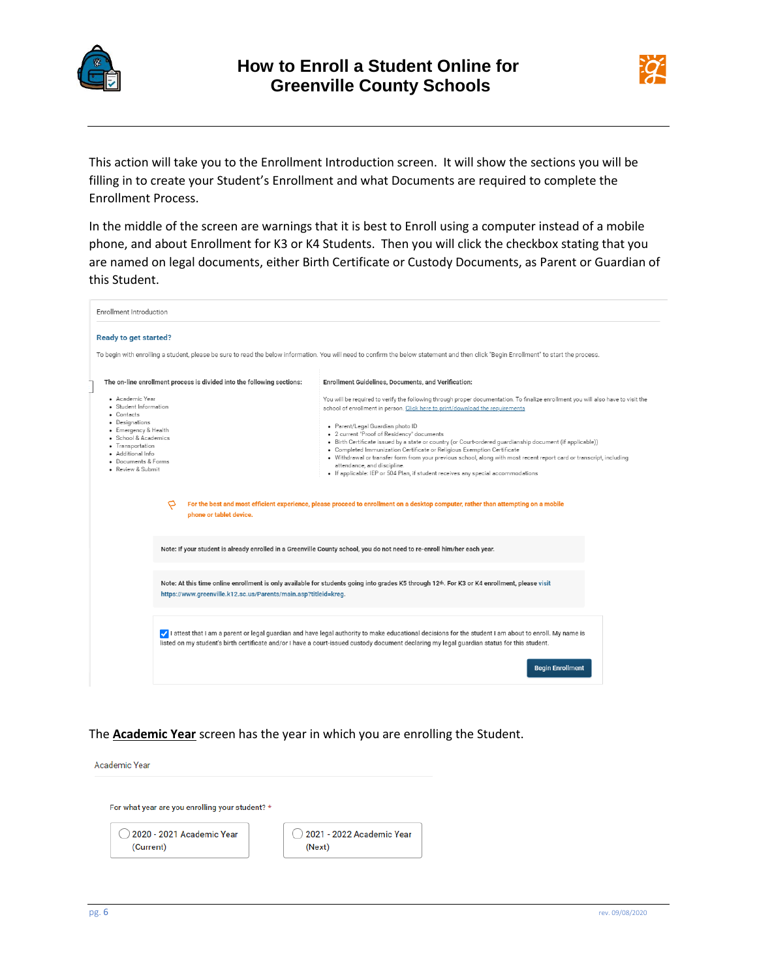



This action will take you to the Enrollment Introduction screen. It will show the sections you will be filling in to create your Student's Enrollment and what Documents are required to complete the Enrollment Process.

In the middle of the screen are warnings that it is best to Enroll using a computer instead of a mobile phone, and about Enrollment for K3 or K4 Students. Then you will click the checkbox stating that you are named on legal documents, either Birth Certificate or Custody Documents, as Parent or Guardian of this Student.

| Enrollment Introduction                                                                                                                                                                                                                                                                                                         |                                                                                                                                                                                                                 |                                                                                                                                                                                                                                                                                                                                                                                                                                                                                                                                                                                                                                                                                                                                                                                                                                                                               |  |  |  |
|---------------------------------------------------------------------------------------------------------------------------------------------------------------------------------------------------------------------------------------------------------------------------------------------------------------------------------|-----------------------------------------------------------------------------------------------------------------------------------------------------------------------------------------------------------------|-------------------------------------------------------------------------------------------------------------------------------------------------------------------------------------------------------------------------------------------------------------------------------------------------------------------------------------------------------------------------------------------------------------------------------------------------------------------------------------------------------------------------------------------------------------------------------------------------------------------------------------------------------------------------------------------------------------------------------------------------------------------------------------------------------------------------------------------------------------------------------|--|--|--|
| <b>Ready to get started?</b>                                                                                                                                                                                                                                                                                                    |                                                                                                                                                                                                                 | To begin with enrolling a student, please be sure to read the below information. You will need to confirm the below statement and then click "Begin Enrollment" to start the process.                                                                                                                                                                                                                                                                                                                                                                                                                                                                                                                                                                                                                                                                                         |  |  |  |
|                                                                                                                                                                                                                                                                                                                                 | The on-line enrollment process is divided into the following sections:                                                                                                                                          | Enrollment Guidelines, Documents, and Verification:                                                                                                                                                                                                                                                                                                                                                                                                                                                                                                                                                                                                                                                                                                                                                                                                                           |  |  |  |
| • Academic Year<br>· Student Information<br>• Contacts<br>• Designations<br>· Emergency & Health<br>· School & Academics<br>• Transportation<br>· Additional Info<br>· Documents & Forms<br>· Review & Submit<br>P<br>phone or tablet device.                                                                                   |                                                                                                                                                                                                                 | You will be required to verify the following through proper documentation. To finalize enrollment you will also have to visit the<br>school of enrollment in person. Click here to print/download the requirements<br>· Parent/Legal Guardian photo ID<br>• 2 current "Proof of Residency" documents<br>• Birth Certificate issued by a state or country (or Court-ordered guardianship document (if applicable))<br>• Completed Immunization Certificate or Religious Exemption Certificate<br>. Withdrawal or transfer form from your previous school, along with most recent report card or transcript, including<br>attendance, and discipline.<br>· If applicable: IEP or 504 Plan, if student receives any special accommodations<br>For the best and most efficient experience, please proceed to enrollment on a desktop computer, rather than attempting on a mobile |  |  |  |
|                                                                                                                                                                                                                                                                                                                                 |                                                                                                                                                                                                                 | Note: If your student is already enrolled in a Greenville County school, you do not need to re-enroll him/her each year.                                                                                                                                                                                                                                                                                                                                                                                                                                                                                                                                                                                                                                                                                                                                                      |  |  |  |
|                                                                                                                                                                                                                                                                                                                                 | Note: At this time online enrollment is only available for students going into grades K5 through 12th. For K3 or K4 enrollment, please visit<br>https://www.greenville.k12.sc.us/Parents/main.asp?titleid=kreg. |                                                                                                                                                                                                                                                                                                                                                                                                                                                                                                                                                                                                                                                                                                                                                                                                                                                                               |  |  |  |
| I attest that I am a parent or legal guardian and have legal authority to make educational decisions for the student I am about to enroll. My name is<br>listed on my student's birth certificate and/or I have a court-issued custody document declaring my legal guardian status for this student.<br><b>Begin Enrollment</b> |                                                                                                                                                                                                                 |                                                                                                                                                                                                                                                                                                                                                                                                                                                                                                                                                                                                                                                                                                                                                                                                                                                                               |  |  |  |

The **Academic Year** screen has the year in which you are enrolling the Student.

Academic Year

For what year are you enrolling your student? \*

 $\bigcirc$  2020 - 2021 Academic Year (Current)

 $\bigcirc$  2021 - 2022 Academic Year (Next)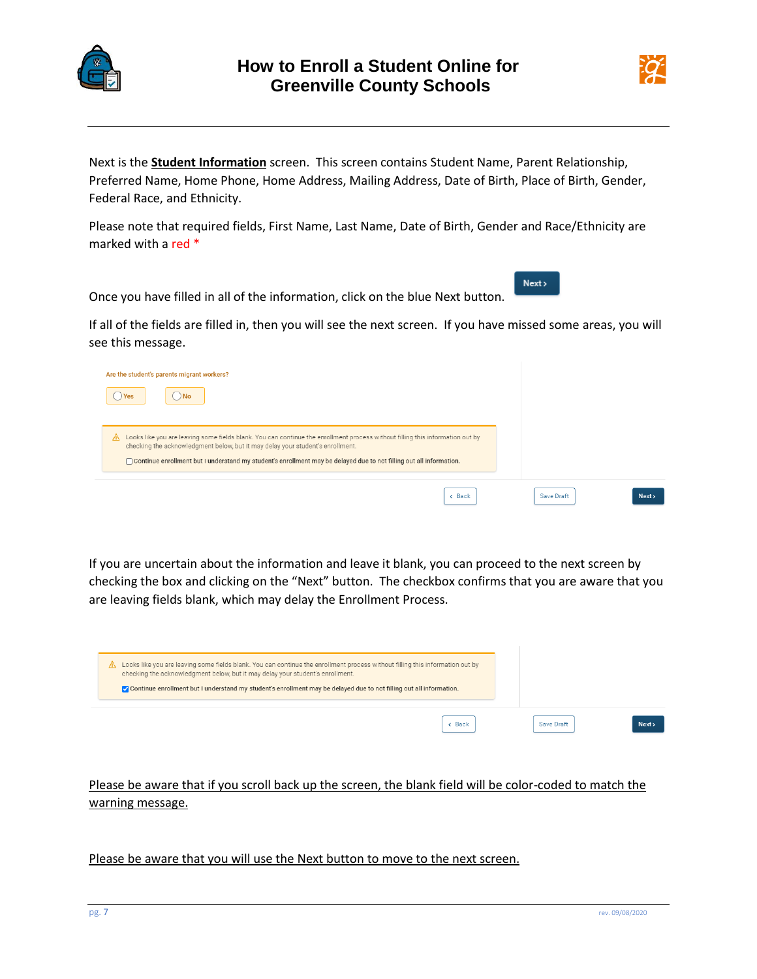



 $Next$ 

Next is the **Student Information** screen. This screen contains Student Name, Parent Relationship, Preferred Name, Home Phone, Home Address, Mailing Address, Date of Birth, Place of Birth, Gender, Federal Race, and Ethnicity.

Please note that required fields, First Name, Last Name, Date of Birth, Gender and Race/Ethnicity are marked with a red \*

Once you have filled in all of the information, click on the blue Next button.

If all of the fields are filled in, then you will see the next screen. If you have missed some areas, you will see this message.

| Are the student's parents migrant workers?<br>Yes                                                                                                                                                                                                                                                                                           |            |        |
|---------------------------------------------------------------------------------------------------------------------------------------------------------------------------------------------------------------------------------------------------------------------------------------------------------------------------------------------|------------|--------|
| Looks like you are leaving some fields blank. You can continue the enrollment process without filling this information out by<br>⚠<br>checking the acknowledgment below, but it may delay your student's enrollment.<br>Continue enrollment but I understand my student's enrollment may be delayed due to not filling out all information. |            |        |
| $\epsilon$ Back                                                                                                                                                                                                                                                                                                                             | Save Draft | Next > |

If you are uncertain about the information and leave it blank, you can proceed to the next screen by checking the box and clicking on the "Next" button. The checkbox confirms that you are aware that you are leaving fields blank, which may delay the Enrollment Process.

| Looks like you are leaving some fields blank. You can continue the enrollment process without filling this information out by<br>checking the acknowledgment below, but it may delay your student's enrollment.<br>Or Continue enrollment but I understand my student's enrollment may be delayed due to not filling out all information. |            |        |
|-------------------------------------------------------------------------------------------------------------------------------------------------------------------------------------------------------------------------------------------------------------------------------------------------------------------------------------------|------------|--------|
| c Back                                                                                                                                                                                                                                                                                                                                    | Save Draft | Next > |

Please be aware that if you scroll back up the screen, the blank field will be color-coded to match the warning message.

Please be aware that you will use the Next button to move to the next screen.